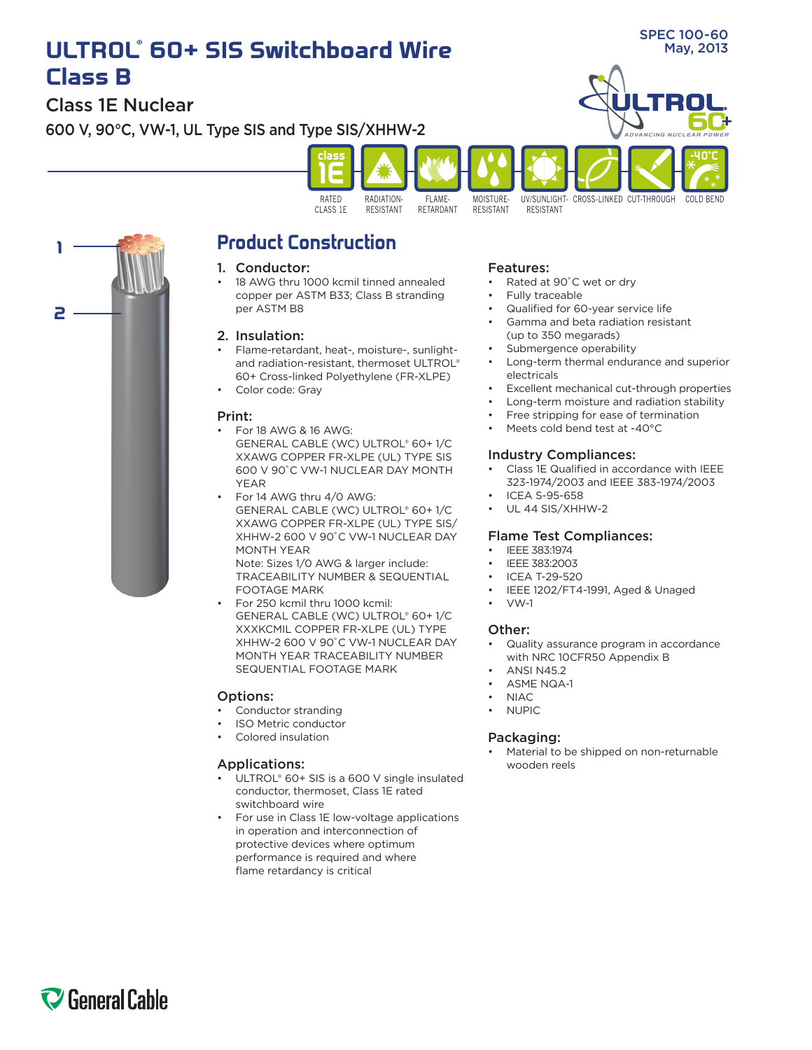# **ULTROL® 60+ SIS Switchboard Wire Class B**

Class 1E Nuclear

600 V, 90°C, VW-1, UL Type SIS and Type SIS/XHHW-2



**ADVANCING NUCLEAR POWER**

COLD BEND

**-40˚C**



UV/SUNLIGHI- CROSS-LINKED CUT-THROUGH



## **Product Construction**

#### 1. Conductor:

18 AWG thru 1000 kcmil tinned annealed copper per ASTM B33; Class B stranding per ASTM B8

### 2. Insulation:

- Flame-retardant, heat-, moisture-, sunlightand radiation-resistant, thermoset ULTROL® 60+ Cross-linked Polyethylene (FR-XLPE)
- Color code: Gray

#### Print:

- For 18 AWG & 16 AWG: GENERAL CABLE (WC) ULTROL® 60+ 1/C XXAWG COPPER FR-XLPE (UL) TYPE SIS 600 V 90˚C VW-1 NUCLEAR DAY MONTH YEAR
- For 14 AWG thru 4/0 AWG: GENERAL CABLE (WC) ULTROL® 60+ 1/C XXAWG COPPER FR-XLPE (UL) TYPE SIS/ XHHW-2 600 V 90˚C VW-1 NUCLEAR DAY MONTH YEAR

Note: Sizes 1/0 AWG & larger include: TRACEABILITY NUMBER & SEQUENTIAL FOOTAGE MARK

For 250 kcmil thru 1000 kcmil: GENERAL CABLE (WC) ULTROL® 60+ 1/C XXXKCMIL COPPER FR-XLPE (UL) TYPE XHHW-2 600 V 90˚C VW-1 NUCLEAR DAY MONTH YEAR TRACEABILITY NUMBER SEQUENTIAL FOOTAGE MARK

### Options:

- Conductor stranding
- **ISO Metric conductor**
- Colored insulation

### Applications:

- ULTROL®  $60+$  SIS is a  $600$  V single insulated conductor, thermoset, Class 1E rated switchboard wire
- For use in Class 1E low-voltage applications in operation and interconnection of protective devices where optimum performance is required and where flame retardancy is critical

#### Features:

- Rated at 90°C wet or dry
- Fully traceable
- Qualified for 60-year service life
- Gamma and beta radiation resistant (up to 350 megarads)
- Submergence operability
- Long-term thermal endurance and superior electricals
- Excellent mechanical cut-through properties
- Long-term moisture and radiation stability
- Free stripping for ease of termination
- Meets cold bend test at -40°C

#### Industry Compliances:

- Class 1E Qualified in accordance with IEEE 323-1974/2003 and IEEE 383-1974/2003
- **ICEA S-95-658**
- • UL 44 SIS/XHHW-2

### Flame Test Compliances:

- IEEE 383:1974
- IEEE 383:2003
- **ICEA T-29-520**
- IEEE 1202/FT4-1991, Aged & Unaged
- $VW-1$

#### Other:

- Quality assurance program in accordance with NRC 10CFR50 Appendix B
- **ANSI N452**
- ASME NQA-1
- **NIAC**
- • NUPIC

#### Packaging:

Material to be shipped on non-returnable wooden reels